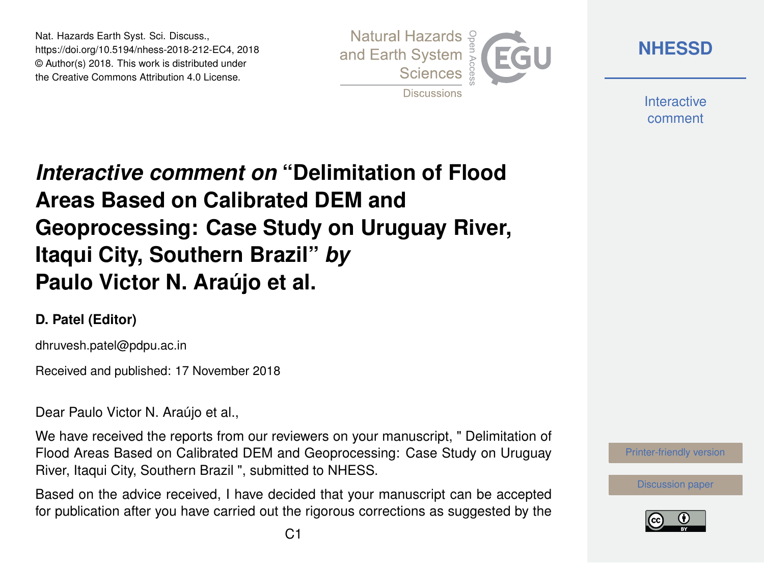Nat. Hazards Earth Syst. Sci. Discuss., https://doi.org/10.5194/nhess-2018-212-EC4, 2018 © Author(s) 2018. This work is distributed under the Creative Commons Attribution 4.0 License.



**[NHESSD](https://www.nat-hazards-earth-syst-sci-discuss.net/)**

**Interactive** comment

## *Interactive comment on* **"Delimitation of Flood Areas Based on Calibrated DEM and Geoprocessing: Case Study on Uruguay River, Itaqui City, Southern Brazil"** *by* **Paulo Victor N. Araújo et al.**

## **D. Patel (Editor)**

dhruvesh.patel@pdpu.ac.in

Received and published: 17 November 2018

Dear Paulo Victor N. Araújo et al.,

We have received the reports from our reviewers on your manuscript, " Delimitation of Flood Areas Based on Calibrated DEM and Geoprocessing: Case Study on Uruguay River, Itaqui City, Southern Brazil ", submitted to NHESS.

Based on the advice received, I have decided that your manuscript can be accepted for publication after you have carried out the rigorous corrections as suggested by the

[Printer-friendly version](https://www.nat-hazards-earth-syst-sci-discuss.net/nhess-2018-212/nhess-2018-212-EC4-print.pdf)

[Discussion paper](https://www.nat-hazards-earth-syst-sci-discuss.net/nhess-2018-212)